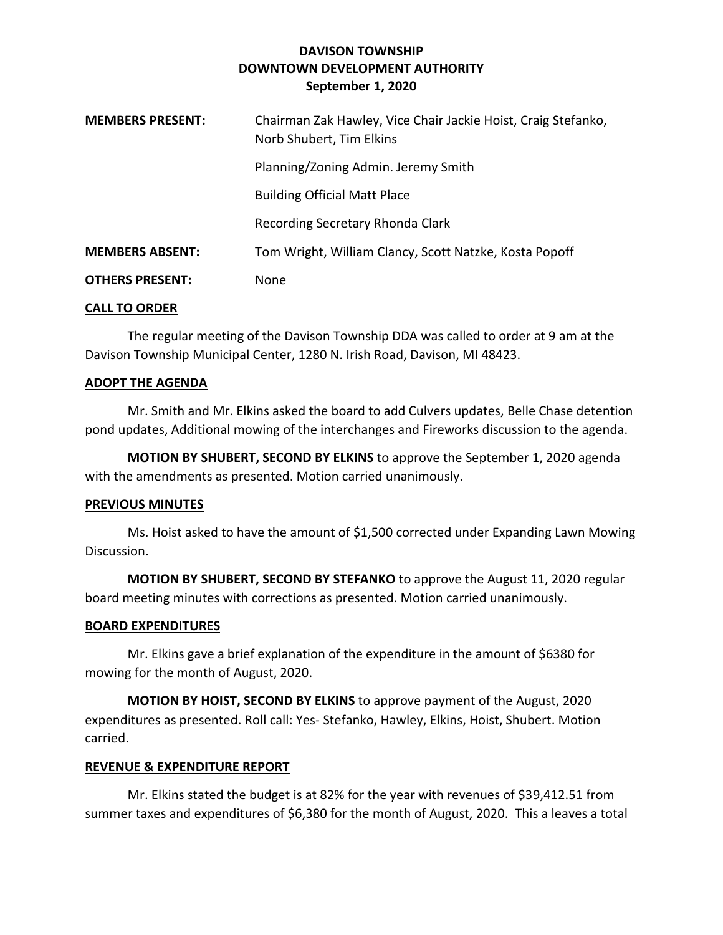# **DAVISON TOWNSHIP DOWNTOWN DEVELOPMENT AUTHORITY September 1, 2020**

| <b>MEMBERS PRESENT:</b> | Chairman Zak Hawley, Vice Chair Jackie Hoist, Craig Stefanko,<br>Norb Shubert, Tim Elkins |
|-------------------------|-------------------------------------------------------------------------------------------|
|                         | Planning/Zoning Admin. Jeremy Smith                                                       |
|                         | <b>Building Official Matt Place</b>                                                       |
|                         | Recording Secretary Rhonda Clark                                                          |
| <b>MEMBERS ABSENT:</b>  | Tom Wright, William Clancy, Scott Natzke, Kosta Popoff                                    |
| <b>OTHERS PRESENT:</b>  | None                                                                                      |

### **CALL TO ORDER**

The regular meeting of the Davison Township DDA was called to order at 9 am at the Davison Township Municipal Center, 1280 N. Irish Road, Davison, MI 48423.

### **ADOPT THE AGENDA**

Mr. Smith and Mr. Elkins asked the board to add Culvers updates, Belle Chase detention pond updates, Additional mowing of the interchanges and Fireworks discussion to the agenda.

**MOTION BY SHUBERT, SECOND BY ELKINS** to approve the September 1, 2020 agenda with the amendments as presented. Motion carried unanimously.

### **PREVIOUS MINUTES**

Ms. Hoist asked to have the amount of \$1,500 corrected under Expanding Lawn Mowing Discussion.

**MOTION BY SHUBERT, SECOND BY STEFANKO** to approve the August 11, 2020 regular board meeting minutes with corrections as presented. Motion carried unanimously.

## **BOARD EXPENDITURES**

Mr. Elkins gave a brief explanation of the expenditure in the amount of \$6380 for mowing for the month of August, 2020.

**MOTION BY HOIST, SECOND BY ELKINS** to approve payment of the August, 2020 expenditures as presented. Roll call: Yes- Stefanko, Hawley, Elkins, Hoist, Shubert. Motion carried.

## **REVENUE & EXPENDITURE REPORT**

Mr. Elkins stated the budget is at 82% for the year with revenues of \$39,412.51 from summer taxes and expenditures of \$6,380 for the month of August, 2020. This a leaves a total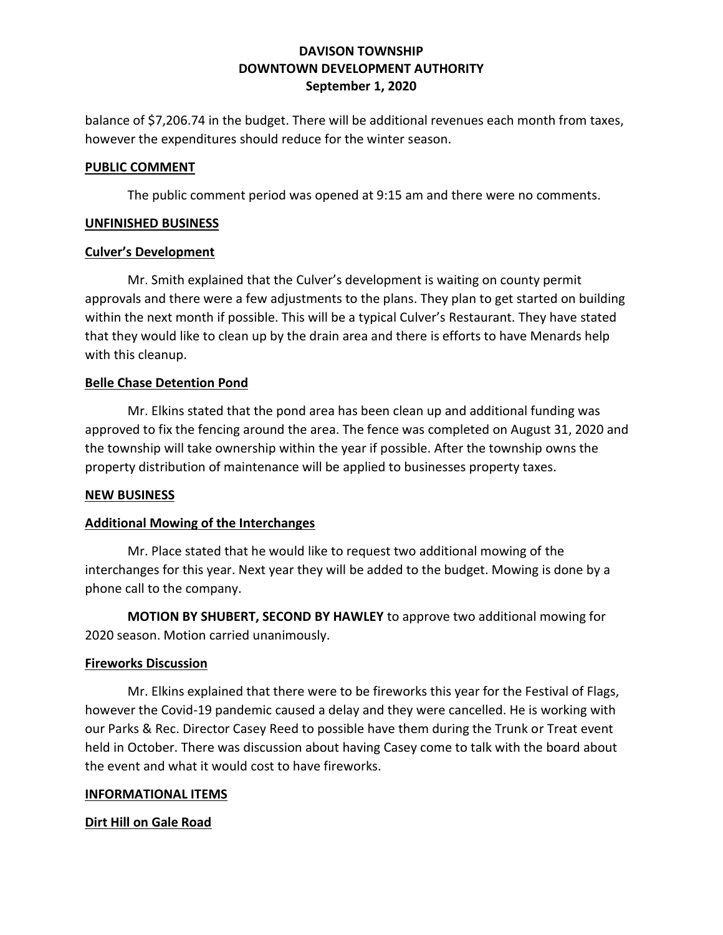# **DAVISON TOWNSHIP DOWNTOWN DEVELOPMENT AUTHORITY September 1, 2020**

balance of \$7,206.74 in the budget. There will be additional revenues each month from taxes, however the expenditures should reduce for the winter season.

### **PUBLIC COMMENT**

The public comment period was opened at 9:15 am and there were no comments.

## **UNFINISHED BUSINESS**

### **Culver's Development**

Mr. Smith explained that the Culver's development is waiting on county permit approvals and there were a few adjustments to the plans. They plan to get started on building within the next month if possible. This will be a typical Culver's Restaurant. They have stated that they would like to clean up by the drain area and there is efforts to have Menards help with this cleanup.

## **Belle Chase Detention Pond**

Mr. Elkins stated that the pond area has been clean up and additional funding was approved to fix the fencing around the area. The fence was completed on August 31, 2020 and the township will take ownership within the year if possible. After the township owns the property distribution of maintenance will be applied to businesses property taxes.

### **NEW BUSINESS**

## **Additional Mowing of the Interchanges**

Mr. Place stated that he would like to request two additional mowing of the interchanges for this year. Next year they will be added to the budget. Mowing is done by a phone call to the company.

**MOTION BY SHUBERT, SECOND BY HAWLEY** to approve two additional mowing for 2020 season. Motion carried unanimously.

### **Fireworks Discussion**

Mr. Elkins explained that there were to be fireworks this year for the Festival of Flags, however the Covid-19 pandemic caused a delay and they were cancelled. He is working with our Parks & Rec. Director Casey Reed to possible have them during the Trunk or Treat event held in October. There was discussion about having Casey come to talk with the board about the event and what it would cost to have fireworks.

### **INFORMATIONAL ITEMS**

## **Dirt Hill on Gale Road**